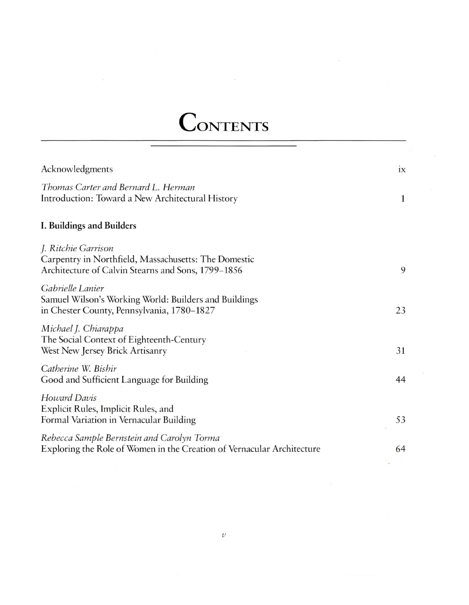## CONTENTS

| Acknowledgments                                                                                                                   | ix |
|-----------------------------------------------------------------------------------------------------------------------------------|----|
| Thomas Carter and Bernard L. Herman<br>Introduction: Toward a New Architectural History                                           | 1  |
| I. Buildings and Builders                                                                                                         |    |
| J. Ritchie Garrison<br>Carpentry in Northfield, Massachusetts: The Domestic<br>Architecture of Calvin Stearns and Sons, 1799–1856 | 9  |
| Gabrielle Lanier<br>Samuel Wilson's Working World: Builders and Buildings<br>in Chester County, Pennsylvania, 1780-1827           | 23 |
| Michael J. Chiarappa<br>The Social Context of Eighteenth-Century<br>West New Jersey Brick Artisanry                               | 31 |
| Catherine W. Bishir<br>Good and Sufficient Language for Building                                                                  | 44 |
| Howard Davis<br>Explicit Rules, Implicit Rules, and<br>Formal Variation in Vernacular Building                                    | 53 |
| Rebecca Sample Bernstein and Carolyn Torma<br>Exploring the Role of Women in the Creation of Vernacular Architecture              | 64 |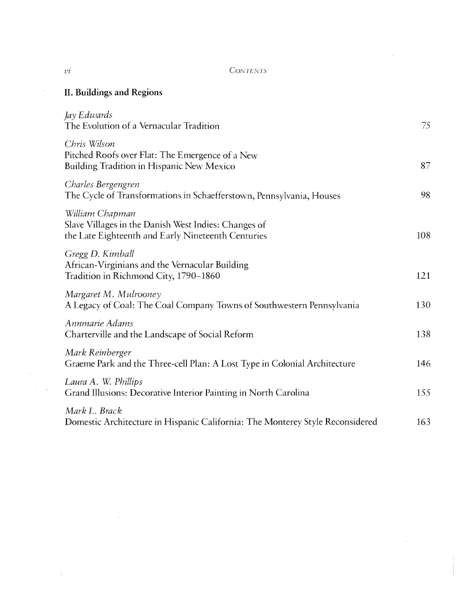## **CONTENTS**

 $\omega$ 

 $\alpha$ 

## II. Buildings and Regions

 $\epsilon$ 

| Jay Edwards<br>The Evolution of a Vernacular Tradition                                                                        | 75  |
|-------------------------------------------------------------------------------------------------------------------------------|-----|
| Chris Wilson<br>Pitched Roofs over Flat: The Emergence of a New<br>Building Tradition in Hispanic New Mexico                  | 87  |
| Charles Bergengren<br>The Cycle of Transformations in Schaefferstown, Pennsylvania, Houses                                    | 98  |
| William Chapman<br>Slave Villages in the Danish West Indies: Changes of<br>the Late Eighteenth and Early Nineteenth Centuries | 108 |
| Gregg D. Kimball<br>African-Virginians and the Vernacular Building<br>Tradition in Richmond City, 1790-1860                   | 121 |
| Margaret M. Mulrooney<br>A Legacy of Coal: The Coal Company Towns of Southwestern Pennsylvania                                | 130 |
| Annmarie Adams<br>Charterville and the Landscape of Social Reform                                                             | 138 |
| Mark Reinberger<br>Graeme Park and the Three-cell Plan: A Lost Type in Colonial Architecture                                  | 146 |
| Laura A. W. Phillips<br>Grand Illusions: Decorative Interior Painting in North Carolina                                       | 155 |
| Mark L. Brack<br>Domestic Architecture in Hispanic California: The Monterey Style Reconsidered                                | 163 |

 $\alpha$ 

 $\sim$ 

 $\mathbf{1}$